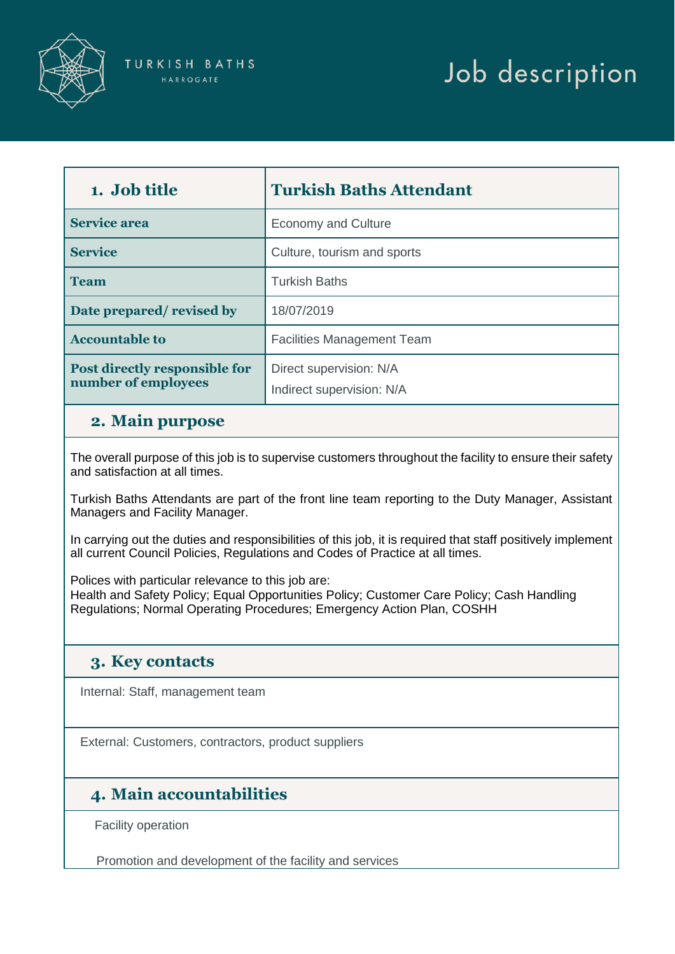

# Job description

| 1. Job title                                         | <b>Turkish Baths Attendant</b>                       |
|------------------------------------------------------|------------------------------------------------------|
| <b>Service area</b>                                  | <b>Economy and Culture</b>                           |
| <b>Service</b>                                       | Culture, tourism and sports                          |
| <b>Team</b>                                          | <b>Turkish Baths</b>                                 |
| Date prepared/revised by                             | 18/07/2019                                           |
| <b>Accountable to</b>                                | <b>Facilities Management Team</b>                    |
| Post directly responsible for<br>number of employees | Direct supervision: N/A<br>Indirect supervision: N/A |

#### **2. Main purpose**

 The overall purpose of this job is to supervise customers throughout the facility to ensure their safety and satisfaction at all times.

 Turkish Baths Attendants are part of the front line team reporting to the Duty Manager, Assistant Managers and Facility Manager.

 In carrying out the duties and responsibilities of this job, it is required that staff positively implement all current Council Policies, Regulations and Codes of Practice at all times.

Polices with particular relevance to this job are:

 Health and Safety Policy; Equal Opportunities Policy; Customer Care Policy; Cash Handling Regulations; Normal Operating Procedures; Emergency Action Plan, COSHH

#### **3. Key contacts**

Internal: Staff, management team

External: Customers, contractors, product suppliers

## **4. Main accountabilities**

Facility operation

Promotion and development of the facility and services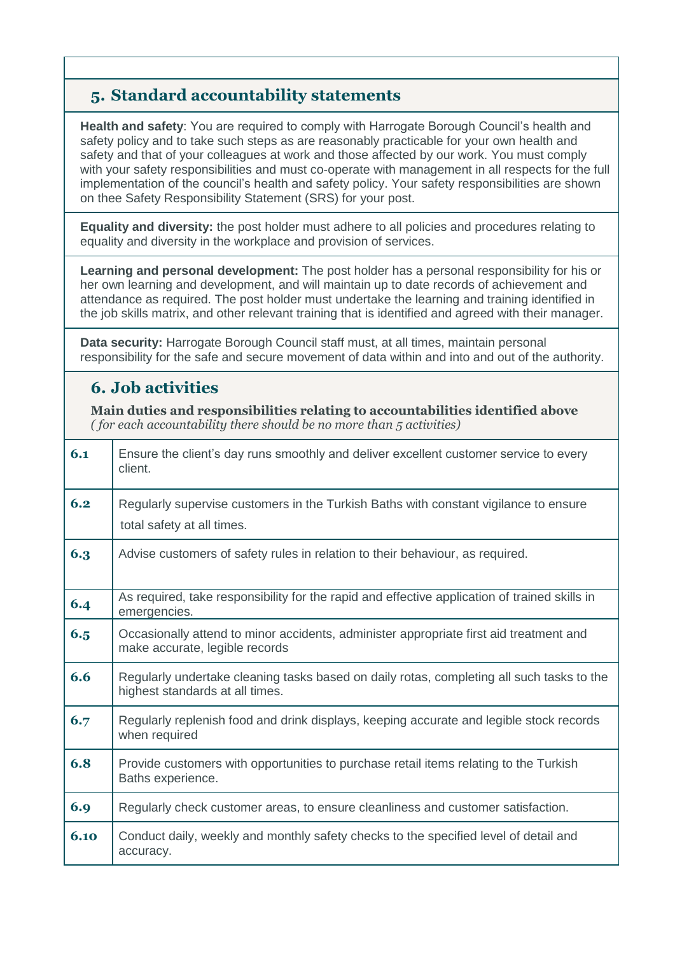## **5. Standard accountability statements**

 **Health and safety**: You are required to comply with Harrogate Borough Council's health and safety policy and to take such steps as are reasonably practicable for your own health and safety and that of your colleagues at work and those affected by our work. You must comply with your safety responsibilities and must co-operate with management in all respects for the full implementation of the council's health and safety policy. Your safety responsibilities are shown on thee Safety Responsibility Statement (SRS) for your post.

 **Equality and diversity:** the post holder must adhere to all policies and procedures relating to equality and diversity in the workplace and provision of services.

 **Learning and personal development:** The post holder has a personal responsibility for his or her own learning and development, and will maintain up to date records of achievement and attendance as required. The post holder must undertake the learning and training identified in the job skills matrix, and other relevant training that is identified and agreed with their manager.

 **Data security:** Harrogate Borough Council staff must, at all times, maintain personal responsibility for the safe and secure movement of data within and into and out of the authority.

## **6. Job activities**

**Main duties and responsibilities relating to accountabilities identified above**  *( for each accountability there should be no more than 5 activities)* 

| 6.1  | Ensure the client's day runs smoothly and deliver excellent customer service to every<br>client.                             |
|------|------------------------------------------------------------------------------------------------------------------------------|
| 6.2  | Regularly supervise customers in the Turkish Baths with constant vigilance to ensure<br>total safety at all times.           |
| 6.3  | Advise customers of safety rules in relation to their behaviour, as required.                                                |
| 6.4  | As required, take responsibility for the rapid and effective application of trained skills in<br>emergencies.                |
| 6.5  | Occasionally attend to minor accidents, administer appropriate first aid treatment and<br>make accurate, legible records     |
| 6.6  | Regularly undertake cleaning tasks based on daily rotas, completing all such tasks to the<br>highest standards at all times. |
| 6.7  | Regularly replenish food and drink displays, keeping accurate and legible stock records<br>when required                     |
| 6.8  | Provide customers with opportunities to purchase retail items relating to the Turkish<br>Baths experience.                   |
| 6.9  | Regularly check customer areas, to ensure cleanliness and customer satisfaction.                                             |
| 6.10 | Conduct daily, weekly and monthly safety checks to the specified level of detail and<br>accuracy.                            |